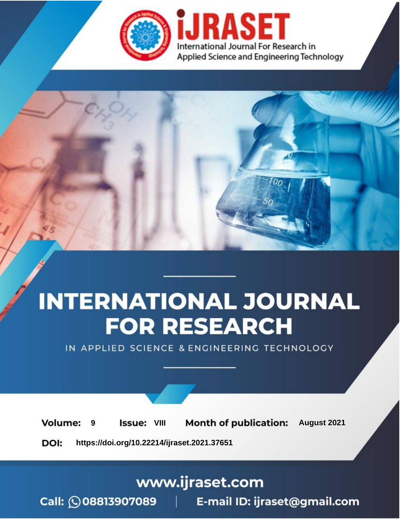

# **INTERNATIONAL JOURNAL FOR RESEARCH**

IN APPLIED SCIENCE & ENGINEERING TECHNOLOGY

**Month of publication: Volume: Issue: VIII** August 2021 9 DOI: https://doi.org/10.22214/ijraset.2021.37651

www.ijraset.com

 $Call: \bigcirc$ 08813907089 E-mail ID: ijraset@gmail.com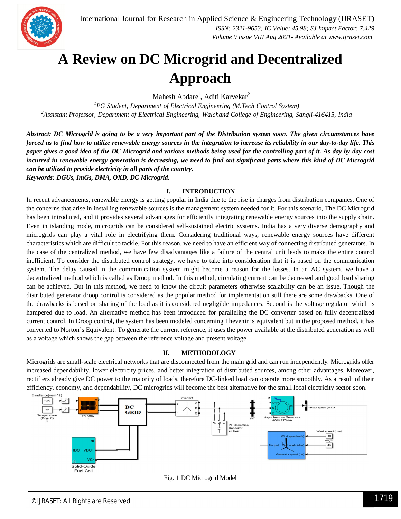

### **A Review on DC Microgrid and Decentralized Approach**

Mahesh Abdare<sup>1</sup>, Aditi Karvekar<sup>2</sup>

*<sup>1</sup>PG Student, Department of Electrical Engineering (M.Tech Control System) <sup>2</sup>Assistant Professor, Department of Electrical Engineering, Walchand College of Engineering, Sangli-416415, India*

*Abstract: DC Microgrid is going to be a very important part of the Distribution system soon. The given circumstances have forced us to find how to utilize renewable energy sources in the integration to increase its reliability in our day-to-day life. This paper gives a good idea of the DC Microgrid and various methods being used for the controlling part of it. As day by day cost incurred in renewable energy generation is decreasing, we need to find out significant parts where this kind of DC Microgrid can be utilized to provide electricity in all parts of the country. Keywords: DGUs, ImGs, DMA, OXD, DC Microgrid.*

#### **I. INTRODUCTION**

In recent advancements, renewable energy is getting popular in India due to the rise in charges from distribution companies. One of the concerns that arise in installing renewable sources is the management system needed for it. For this scenario, The DC Microgrid has been introduced, and it provides several advantages for efficiently integrating renewable energy sources into the supply chain. Even in islanding mode, microgrids can be considered self-sustained electric systems. India has a very diverse demography and microgrids can play a vital role in electrifying them. Considering traditional ways, renewable energy sources have different characteristics which are difficult to tackle. For this reason, we need to have an efficient way of connecting distributed generators. In the case of the centralized method, we have few disadvantages like a failure of the central unit leads to make the entire control inefficient. To consider the distributed control strategy, we have to take into consideration that it is based on the communication system. The delay caused in the communication system might become a reason for the losses. In an AC system, we have a decentralized method which is called as Droop method. In this method, circulating current can be decreased and good load sharing can be achieved. But in this method, we need to know the circuit parameters otherwise scalability can be an issue. Though the distributed generator droop control is considered as the popular method for implementation still there are some drawbacks. One of the drawbacks is based on sharing of the load as it is considered negligible impedances. Second is the voltage regulator which is hampered due to load. An alternative method has been introduced for paralleling the DC converter based on fully decentralized current control. In Droop control, the system has been modeled concerning Thevenin's equivalent but in the proposed method, it has converted to Norton's Equivalent. To generate the current reference, it uses the power available at the distributed generation as well as a voltage which shows the gap between the reference voltage and present voltage

#### **II. METHODOLOGY**

Microgrids are small-scale electrical networks that are disconnected from the main grid and can run independently. Microgrids offer increased dependability, lower electricity prices, and better integration of distributed sources, among other advantages. Moreover, rectifiers already give DC power to the majority of loads, therefore DC-linked load can operate more smoothly. As a result of their efficiency, economy, and dependability, DC microgrids will become the best alternative for the small local electricity sector soon.



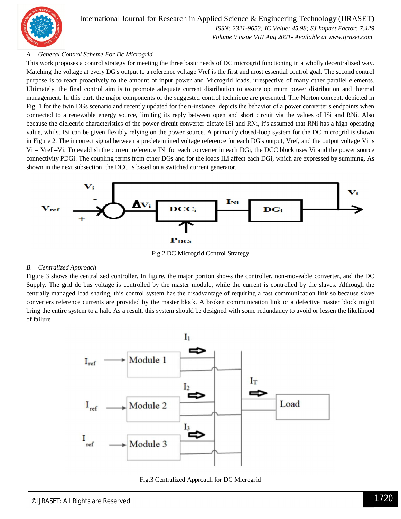

International Journal for Research in Applied Science & Engineering Technology (IJRASET**)**  *ISSN: 2321-9653; IC Value: 45.98; SJ Impact Factor: 7.429*

 *Volume 9 Issue VIII Aug 2021- Available at www.ijraset.com*

#### *A. General Control Scheme For Dc Microgrid*

This work proposes a control strategy for meeting the three basic needs of DC microgrid functioning in a wholly decentralized way. Matching the voltage at every DG's output to a reference voltage Vref is the first and most essential control goal. The second control purpose is to react proactively to the amount of input power and Microgrid loads, irrespective of many other parallel elements. Ultimately, the final control aim is to promote adequate current distribution to assure optimum power distribution and thermal management. In this part, the major components of the suggested control technique are presented. The Norton concept, depicted in Fig. 1 for the twin DGs scenario and recently updated for the n-instance, depicts the behavior of a power converter's endpoints when connected to a renewable energy source, limiting its reply between open and short circuit via the values of ISi and RNi. Also because the dielectric characteristics of the power circuit converter dictate ISi and RNi, it's assumed that RNi has a high operating value, whilst ISi can be given flexibly relying on the power source. A primarily closed-loop system for the DC microgrid is shown in Figure 2. The incorrect signal between a predetermined voltage reference for each DG's output, Vref, and the output voltage Vi is Vi = Vref –Vi. To establish the current reference INi for each converter in each DGi, the DCC block uses Vi and the power source connectivity PDGi. The coupling terms from other DGs and for the loads ILi affect each DGi, which are expressed by summing. As shown in the next subsection, the DCC is based on a switched current generator.



Fig.2 DC Microgrid Control Strategy

#### *B. Centralized Approach*

Figure 3 shows the centralized controller. In figure, the major portion shows the controller, non-moveable converter, and the DC Supply. The grid dc bus voltage is controlled by the master module, while the current is controlled by the slaves. Although the centrally managed load sharing, this control system has the disadvantage of requiring a fast communication link so because slave converters reference currents are provided by the master block. A broken communication link or a defective master block might bring the entire system to a halt. As a result, this system should be designed with some redundancy to avoid or lessen the likelihood of failure



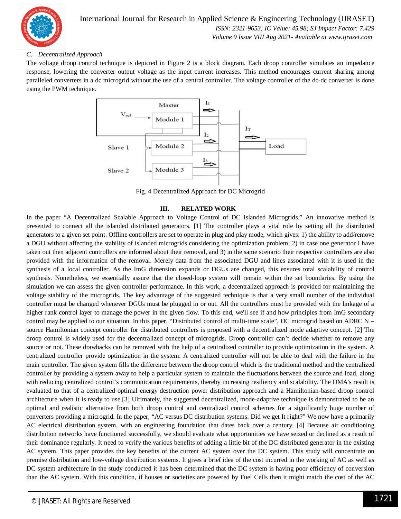

International Journal for Research in Applied Science & Engineering Technology (IJRASET**)**  *ISSN: 2321-9653; IC Value: 45.98; SJ Impact Factor: 7.429 Volume 9 Issue VIII Aug 2021- Available at www.ijraset.com*

#### *C. Decentralized Approach*

The voltage droop control technique is depicted in Figure 2 is a block diagram. Each droop controller simulates an impedance response, lowering the converter output voltage as the input current increases. This method encourages current sharing among paralleled converters in a dc microgrid without the use of a central controller. The voltage controller of the dc-dc converter is done using the PWM technique.



Fig. 4 Decentralized Approach for DC Microgrid

#### **III. RELATED WORK**

In the paper "A Decentralized Scalable Approach to Voltage Control of DC Islanded Microgrids." An innovative method is presented to connect all the islanded distributed generators. [1] The controller plays a vital role by setting all the distributed generators to a given set point. Offline controllers are set to operate in plug and play mode, which gives: 1) the ability to add/remove a DGU without affecting the stability of islanded microgrids considering the optimization problem; 2) in case one generator I have taken out then adjacent controllers are informed about their removal, and 3) in the same scenario their respective controllers are also provided with the information of the removal. Merely data from the associated DGU and lines associated with it is used in the synthesis of a local controller. As the ImG dimension expands or DGUs are changed, this ensures total scalability of control synthesis. Nonetheless, we essentially assure that the closed-loop system will remain within the set boundaries. By using the simulation we can assess the given controller performance. In this work, a decentralized approach is provided for maintaining the voltage stability of the microgrids. The key advantage of the suggested technique is that a very small number of the individual controller must be changed whenever DGUs must be plugged in or out. All the controllers must be provided with the linkage of a higher rank control layer to manage the power in the given flow. To this end, we'll see if and how principles from ImG secondary control may be applied to our situation. In this paper, "Distributed control of multi-time scale", DC microgrid based on ADRC N – source Hamiltonian concept controller for distributed controllers is proposed with a decentralized mode adaptive concept. [2] The droop control is widely used for the decentralized concept of microgrids. Droop controller can't decide whether to remove any source or not. These drawbacks can be removed with the help of a centralized controller to provide optimization in the system. A centralized controller provide optimization in the system. A centralized controller will not be able to deal with the failure in the main controller. The given system fills the difference between the droop control which is the traditional method and the centralized controller by providing a system away to help a particular system to maintain the fluctuations between the source and load, along with reducing centralized control's communication requirements, thereby increasing resiliency and scalability. The DMA's result is evaluated to that of a centralized optimal energy destruction power distribution approach and a Hamiltonian-based droop control architecture when it is ready to use.[3] Ultimately, the suggested decentralized, mode-adaptive technique is demonstrated to be an optimal and realistic alternative from both droop control and centralized control schemes for a significantly huge number of converters providing a microgrid. In the paper, "AC versus DC distribution systems: Did we get It right?" We now have a primarily AC electrical distribution system, with an engineering foundation that dates back over a century. [4] Because air conditioning distribution networks have functioned successfully, we should evaluate what opportunities we have seized or declined as a result of their dominance regularly. It need to verify the various benefits of adding a little bit of the DC distributed generator in the existing AC system. This paper provides the key benefits of the current AC system over the DC system. This study will concentrate on premise distribution and low-voltage distribution systems. It gives a brief idea of the cost incurred in the working of AC as well as DC system architecture In the study conducted it has been determined that the DC system is having poor efficiency of conversion than the AC system. With this condition, if houses or societies are powered by Fuel Cells then it might match the cost of the AC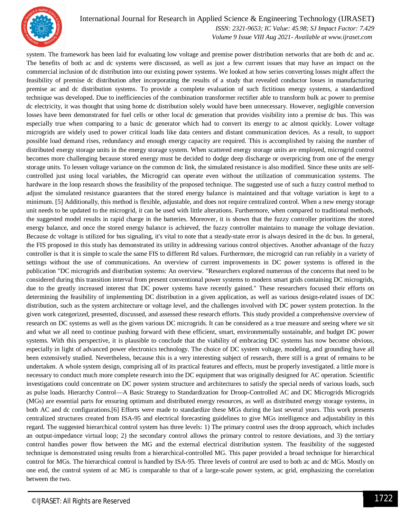

#### International Journal for Research in Applied Science & Engineering Technology (IJRASET**)**

 *ISSN: 2321-9653; IC Value: 45.98; SJ Impact Factor: 7.429 Volume 9 Issue VIII Aug 2021- Available at www.ijraset.com*

system. The framework has been laid for evaluating low voltage and premise power distribution networks that are both dc and ac. The benefits of both ac and dc systems were discussed, as well as just a few current issues that may have an impact on the commercial inclusion of dc distribution into our existing power systems. We looked at how series converting losses might affect the feasibility of premise dc distribution after incorporating the results of a study that revealed conductor losses in manufacturing premise ac and dc distribution systems. To provide a complete evaluation of such fictitious energy systems, a standardized technique was developed. Due to inefficiencies of the combination transformer rectifier able to transform bulk ac power to premise dc electricity, it was thought that using home dc distribution solely would have been unnecessary. However, negligible conversion losses have been demonstrated for fuel cells or other local dc generation that provides visibility into a premise dc bus. This was especially true when comparing to a basic dc generator which had to convert its energy to ac almost quickly. Lower voltage microgrids are widely used to power critical loads like data centers and distant communication devices. As a result, to support possible load demand rises, redundancy and enough energy capacity are required. This is accomplished by raising the number of distributed energy storage units in the energy storage system. When scattered energy storage units are employed, microgrid control becomes more challenging because stored energy must be decided to dodge deep discharge or overpricing from one of the energy storage units. To lessen voltage variance on the common dc link, the simulated resistance is also modified. Since these units are selfcontrolled just using local variables, the Microgrid can operate even without the utilization of communication systems. The hardware in the loop research shows the feasibility of the proposed technique. The suggested use of such a fuzzy control method to adjust the simulated resistance guarantees that the stored energy balance is maintained and that voltage variation is kept to a minimum. [5] Additionally, this method is flexible, adjustable, and does not require centralized control. When a new energy storage unit needs to be updated to the microgrid, it can be used with little alterations. Furthermore, when compared to traditional methods, the suggested model results in rapid charge in the batteries. Moreover, it is shown that the fuzzy controller prioritizes the stored energy balance, and once the stored energy balance is achieved, the fuzzy controller maintains to manage the voltage deviation. Because dc voltage is utilized for bus signaling, it's vital to note that a steady-state error is always desired in the dc bus. In general, the FIS proposed in this study has demonstrated its utility in addressing various control objectives. Another advantage of the fuzzy controller is that it is simple to scale the same FIS to different Rd values. Furthermore, the microgrid can run reliably in a variety of settings without the use of communications. An overview of current improvements in DC power systems is offered in the publication "DC microgrids and distribution systems: An overview. "Researchers explored numerous of the concerns that need to be considered during this transition interval from present conventional power systems to modern smart grids containing DC microgrids, due to the greatly increased interest that DC power systems have recently gained." These researchers focused their efforts on determining the feasibility of implementing DC distribution in a given application, as well as various design-related issues of DC distribution, such as the system architecture or voltage level, and the challenges involved with DC power system protection. In the given work categorized, presented, discussed, and assessed these research efforts. This study provided a comprehensive overview of research on DC systems as well as the given various DC microgrids. It can be considered as a true measure and seeing where we sit and what we all need to continue pushing forward with these efficient, smart, environmentally sustainable, and budget DC power systems. With this perspective, it is plausible to conclude that the viability of embracing DC systems has now become obvious, especially in light of advanced power electronics technology. The choice of DC system voltage, modeling, and grounding have all been extensively studied. Nevertheless, because this is a very interesting subject of research, there still is a great of remains to be undertaken. A whole system design, comprising all of its practical features and effects, must be properly investigated. a little more is necessary to conduct much more complete research into the DC equipment that was originally designed for AC operation. Scientific investigations could concentrate on DC power system structure and architectures to satisfy the special needs of various loads, such as pulse loads. Hierarchy Control—A Basic Strategy to Standardization for Droop-Controlled AC and DC Microgrids Microgrids (MGs) are essential parts for ensuring optimum and distributed energy resources, as well as distributed energy storage systems, in both AC and dc configurations.[6] Efforts were made to standardize these MGs during the last several years. This work presents centralized structures created from ISA-95 and electrical forecasting guidelines to give MGs intelligence and adjustability in this regard. The suggested hierarchical control system has three levels: 1) The primary control uses the droop approach, which includes an output-impedance virtual loop; 2) the secondary control allows the primary control to restore deviations, and 3) the tertiary control handles power flow between the MG and the external electrical distribution system. The feasibility of the suggested technique is demonstrated using results from a hierarchical-controlled MG. This paper provided a broad technique for hierarchical control for MGs. The hierarchical control is handled by ISA-95. Three levels of control are used to both ac and dc MGs. Mostly on one end, the control system of ac MG is comparable to that of a large-scale power system, ac grid, emphasizing the correlation between the two.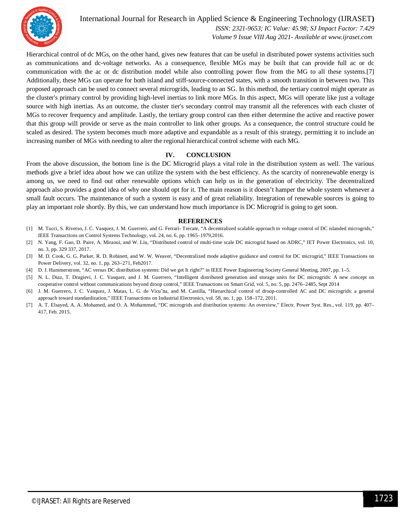

International Journal for Research in Applied Science & Engineering Technology (IJRASET**)**  *ISSN: 2321-9653; IC Value: 45.98; SJ Impact Factor: 7.429*

 *Volume 9 Issue VIII Aug 2021- Available at www.ijraset.com*

Hierarchical control of dc MGs, on the other hand, gives new features that can be useful in distributed power systems activities such as communications and dc-voltage networks. As a consequence, flexible MGs may be built that can provide full ac or dc communication with the ac or dc distribution model while also controlling power flow from the MG to all these systems.[7] Additionally, these MGs can operate for both island and stiff-source-connected states, with a smooth transition in between two. This proposed approach can be used to connect several microgrids, leading to an SG. In this method, the tertiary control might operate as the cluster's primary control by providing high-level inertias to link more MGs. In this aspect, MGs will operate like just a voltage source with high inertias. As an outcome, the cluster tier's secondary control may transmit all the references with each cluster of MGs to recover frequency and amplitude. Lastly, the tertiary group control can then either determine the active and reactive power that this group will provide or serve as the main controller to link other groups. As a consequence, the control structure could be scaled as desired. The system becomes much more adaptive and expandable as a result of this strategy, permitting it to include an increasing number of MGs with needing to alter the regional hierarchical control scheme with each MG.

#### **IV. CONCLUSION**

From the above discussion, the bottom line is the DC Microgrid plays a vital role in the distribution system as well. The various methods give a brief idea about how we can utilize the system with the best efficiency. As the scarcity of nonrenewable energy is among us, we need to find out other renewable options which can help us in the generation of electricity. The decentralized approach also provides a good idea of why one should opt for it. The main reason is it doesn't hamper the whole system whenever a small fault occurs. The maintenance of such a system is easy and of great reliability. Integration of renewable sources is going to play an important role shortly. By this, we can understand how much importance is DC Microgrid is going to get soon.

#### **REFERENCES**

- [1] M. Tucci, S. Riverso, J. C. Vasquez, J. M. Guerrero, and G. Ferrari- Trecate, "A decentralized scalable approach to voltage control of DC islanded microgrids," IEEE Transactions on Control Systems Technology, vol. 24, no. 6, pp. 1965–1979,2016.
- [2] N. Yang, F. Gao, D. Paire, A. Miraoui, and W. Liu, "Distributed control of multi-time scale DC microgrid based on ADRC," IET Power Electronics, vol. 10, no. 3, pp. 329 337, 2017.
- [3] M. D. Cook, G. G. Parker, R. D. Robinett, and W. W. Weaver, "Decentralized mode adaptive guidance and control for DC microgrid," IEEE Transactions on Power Delivery, vol. 32, no. 1, pp. 263–271, Feb2017.
- [4] D. J. Hammerstrom, "AC versus DC distribution systems: Did we get It right?" in IEEE Power Engineering Society General Meeting, 2007, pp. 1–5.
- [5] N. L. Diaz, T. Dragievi, J. C. Vasquez, and J. M. Guerrero, "Intelligent distributed generation and storage units for DC microgrids: A new concept on cooperative control without communications beyond droop control," IEEE Transactions on Smart Grid, vol. 5, no. 5, pp. 2476–2485, Sept 2014
- [6] J. M. Guerrero, J. C. Vasquez, J. Matas, L. G. de Vicu˜na, and M. Castilla, "Hierarchical control of droop-controlled AC and DC microgrids: a general approach toward standardization," IEEE Transactions on Industrial Electronics, vol. 58, no. 1, pp. 158–172, 2011.
- [7] A. T. Elsayed, A. A. Mohamed, and O. A. Mohammed, "DC microgrids and distribution systems: An overview," Electr. Power Syst. Res., vol. 119, pp. 407– 417, Feb. 2015.